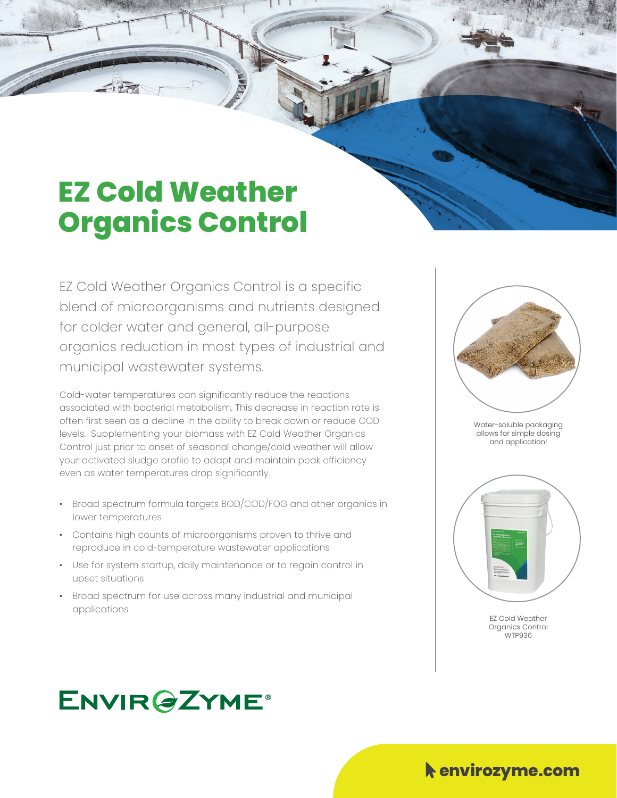## **EZ Cold Weather Organics Control**

EZ Cold Weather Organics Control is a specific blend of microorganisms and nutrients designed for colder water and general, all-purpose organics reduction in most types of industrial and municipal wastewater systems.

Cold-water temperatures can significantly reduce the reactions associated with bacterial metabolism. This decrease in reaction rate is often first seen as a decline in the ability to break down or reduce COD levels. Supplementing your biomass with EZ Cold Weather Organics Control just prior to onset of seasonal change/cold weather will allow your activated sludge profile to adapt and maintain peak efficiency even as water temperatures drop significantly.

- Broad spectrum formula targets BOD/COD/FOG and other organics in lower temperatures
- Contains high counts of microorganisms proven to thrive and reproduce in cold-temperature wastewater applications
- Use for system startup, daily maintenance or to regain control in upset situations
- Broad spectrum for use across many industrial and municipal applications



Water-soluble packaging allows for simple dosing and application!





## **ENVIR@ZYME®**

Mouse-Pointer **envirozyme.com**